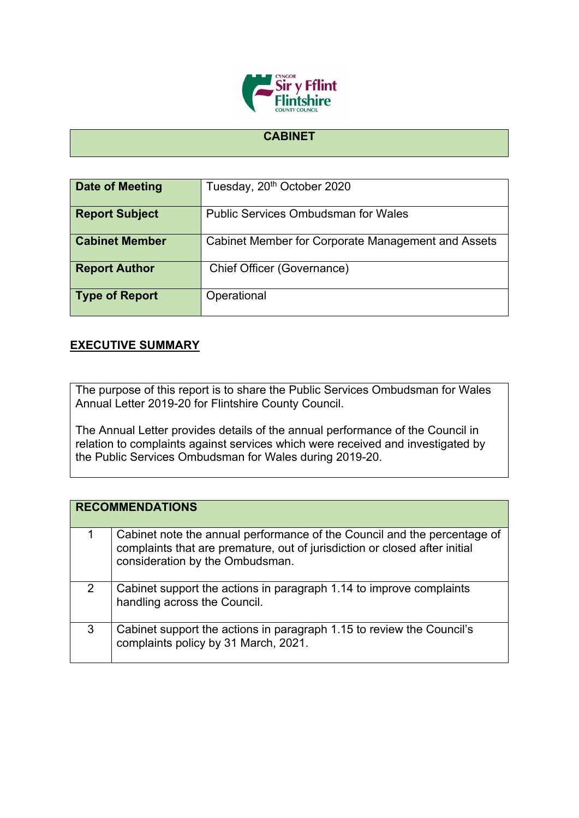

## **CABINET**

| <b>Date of Meeting</b> | Tuesday, 20 <sup>th</sup> October 2020             |
|------------------------|----------------------------------------------------|
| <b>Report Subject</b>  | <b>Public Services Ombudsman for Wales</b>         |
| <b>Cabinet Member</b>  | Cabinet Member for Corporate Management and Assets |
| <b>Report Author</b>   | <b>Chief Officer (Governance)</b>                  |
| <b>Type of Report</b>  | Operational                                        |

## **EXECUTIVE SUMMARY**

The purpose of this report is to share the Public Services Ombudsman for Wales Annual Letter 2019-20 for Flintshire County Council.

The Annual Letter provides details of the annual performance of the Council in relation to complaints against services which were received and investigated by the Public Services Ombudsman for Wales during 2019-20.

|   | <b>RECOMMENDATIONS</b>                                                                                                                                                                    |
|---|-------------------------------------------------------------------------------------------------------------------------------------------------------------------------------------------|
|   | Cabinet note the annual performance of the Council and the percentage of<br>complaints that are premature, out of jurisdiction or closed after initial<br>consideration by the Ombudsman. |
| 2 | Cabinet support the actions in paragraph 1.14 to improve complaints<br>handling across the Council.                                                                                       |
| 3 | Cabinet support the actions in paragraph 1.15 to review the Council's<br>complaints policy by 31 March, 2021.                                                                             |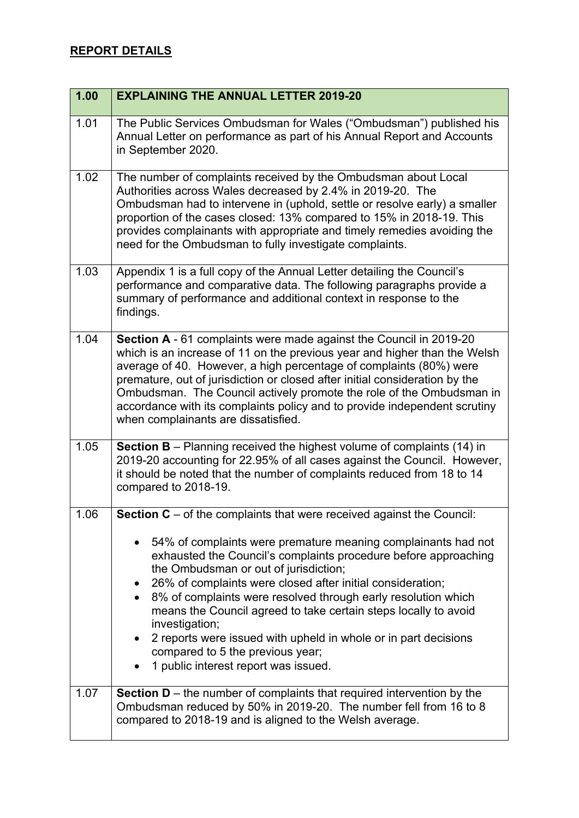## **REPORT DETAILS**

| 1.00 | <b>EXPLAINING THE ANNUAL LETTER 2019-20</b>                                                                                                                                                                                                                                                                                                                                                                                                                                                                                                               |
|------|-----------------------------------------------------------------------------------------------------------------------------------------------------------------------------------------------------------------------------------------------------------------------------------------------------------------------------------------------------------------------------------------------------------------------------------------------------------------------------------------------------------------------------------------------------------|
| 1.01 | The Public Services Ombudsman for Wales ("Ombudsman") published his<br>Annual Letter on performance as part of his Annual Report and Accounts<br>in September 2020.                                                                                                                                                                                                                                                                                                                                                                                       |
| 1.02 | The number of complaints received by the Ombudsman about Local<br>Authorities across Wales decreased by 2.4% in 2019-20. The<br>Ombudsman had to intervene in (uphold, settle or resolve early) a smaller<br>proportion of the cases closed: 13% compared to 15% in 2018-19. This<br>provides complainants with appropriate and timely remedies avoiding the<br>need for the Ombudsman to fully investigate complaints.                                                                                                                                   |
| 1.03 | Appendix 1 is a full copy of the Annual Letter detailing the Council's<br>performance and comparative data. The following paragraphs provide a<br>summary of performance and additional context in response to the<br>findings.                                                                                                                                                                                                                                                                                                                           |
| 1.04 | Section A - 61 complaints were made against the Council in 2019-20<br>which is an increase of 11 on the previous year and higher than the Welsh<br>average of 40. However, a high percentage of complaints (80%) were<br>premature, out of jurisdiction or closed after initial consideration by the<br>Ombudsman. The Council actively promote the role of the Ombudsman in<br>accordance with its complaints policy and to provide independent scrutiny<br>when complainants are dissatisfied.                                                          |
| 1.05 | <b>Section B</b> – Planning received the highest volume of complaints $(14)$ in<br>2019-20 accounting for 22.95% of all cases against the Council. However,<br>it should be noted that the number of complaints reduced from 18 to 14<br>compared to 2018-19.                                                                                                                                                                                                                                                                                             |
| 1.06 | <b>Section C</b> – of the complaints that were received against the Council:                                                                                                                                                                                                                                                                                                                                                                                                                                                                              |
|      | 54% of complaints were premature meaning complainants had not<br>exhausted the Council's complaints procedure before approaching<br>the Ombudsman or out of jurisdiction;<br>26% of complaints were closed after initial consideration;<br>8% of complaints were resolved through early resolution which<br>means the Council agreed to take certain steps locally to avoid<br>investigation;<br>2 reports were issued with upheld in whole or in part decisions<br>$\bullet$<br>compared to 5 the previous year;<br>1 public interest report was issued. |
| 1.07 | <b>Section D</b> – the number of complaints that required intervention by the<br>Ombudsman reduced by 50% in 2019-20. The number fell from 16 to 8<br>compared to 2018-19 and is aligned to the Welsh average.                                                                                                                                                                                                                                                                                                                                            |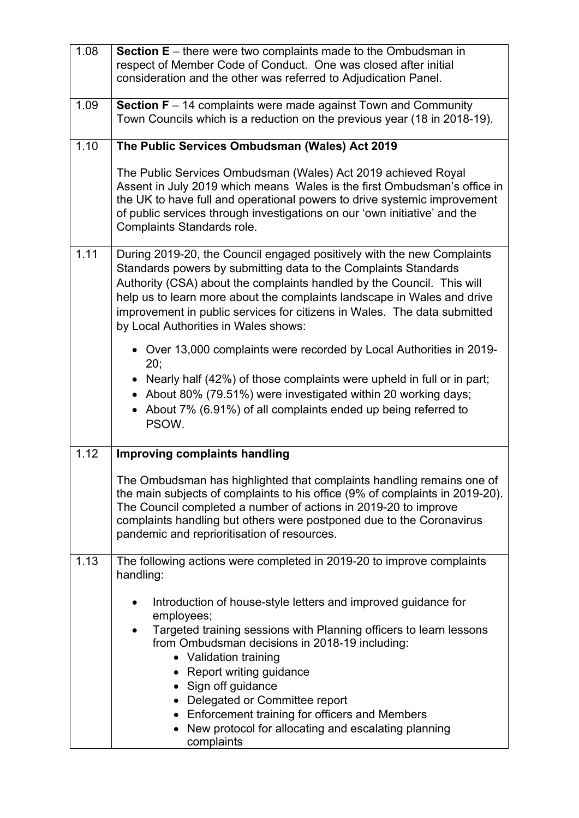| 1.08 | <b>Section E</b> – there were two complaints made to the Ombudsman in<br>respect of Member Code of Conduct. One was closed after initial<br>consideration and the other was referred to Adjudication Panel.                                                                                                                                                                                                        |
|------|--------------------------------------------------------------------------------------------------------------------------------------------------------------------------------------------------------------------------------------------------------------------------------------------------------------------------------------------------------------------------------------------------------------------|
| 1.09 | <b>Section F</b> $-$ 14 complaints were made against Town and Community<br>Town Councils which is a reduction on the previous year (18 in 2018-19).                                                                                                                                                                                                                                                                |
| 1.10 | The Public Services Ombudsman (Wales) Act 2019                                                                                                                                                                                                                                                                                                                                                                     |
|      | The Public Services Ombudsman (Wales) Act 2019 achieved Royal<br>Assent in July 2019 which means Wales is the first Ombudsman's office in<br>the UK to have full and operational powers to drive systemic improvement<br>of public services through investigations on our 'own initiative' and the<br>Complaints Standards role.                                                                                   |
| 1.11 | During 2019-20, the Council engaged positively with the new Complaints<br>Standards powers by submitting data to the Complaints Standards<br>Authority (CSA) about the complaints handled by the Council. This will<br>help us to learn more about the complaints landscape in Wales and drive<br>improvement in public services for citizens in Wales. The data submitted<br>by Local Authorities in Wales shows: |
|      | • Over 13,000 complaints were recorded by Local Authorities in 2019-<br>20;                                                                                                                                                                                                                                                                                                                                        |
|      | • Nearly half (42%) of those complaints were upheld in full or in part;<br>About 80% (79.51%) were investigated within 20 working days;<br>About 7% (6.91%) of all complaints ended up being referred to<br>PSOW.                                                                                                                                                                                                  |
| 1.12 | <b>Improving complaints handling</b>                                                                                                                                                                                                                                                                                                                                                                               |
|      | The Ombudsman has highlighted that complaints handling remains one of<br>the main subjects of complaints to his office (9% of complaints in 2019-20).<br>The Council completed a number of actions in 2019-20 to improve<br>complaints handling but others were postponed due to the Coronavirus<br>pandemic and reprioritisation of resources.                                                                    |
| 1.13 | The following actions were completed in 2019-20 to improve complaints<br>handling:                                                                                                                                                                                                                                                                                                                                 |
|      | Introduction of house-style letters and improved guidance for<br>employees;<br>Targeted training sessions with Planning officers to learn lessons<br>from Ombudsman decisions in 2018-19 including:<br>• Validation training<br>• Report writing guidance<br>• Sign off guidance<br>• Delegated or Committee report                                                                                                |
|      | Enforcement training for officers and Members<br>New protocol for allocating and escalating planning<br>complaints                                                                                                                                                                                                                                                                                                 |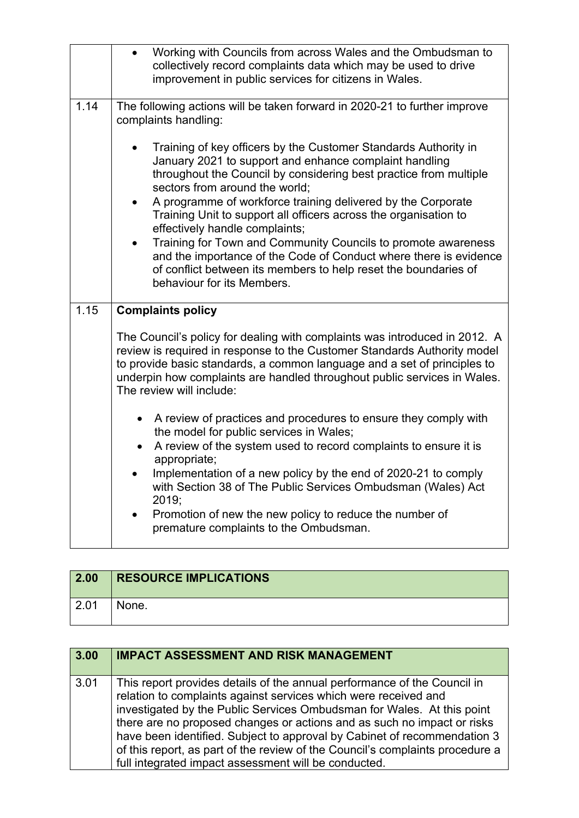|      | Working with Councils from across Wales and the Ombudsman to<br>$\bullet$<br>collectively record complaints data which may be used to drive<br>improvement in public services for citizens in Wales.                                                                                                                                                                                                                |
|------|---------------------------------------------------------------------------------------------------------------------------------------------------------------------------------------------------------------------------------------------------------------------------------------------------------------------------------------------------------------------------------------------------------------------|
| 1.14 | The following actions will be taken forward in 2020-21 to further improve<br>complaints handling:                                                                                                                                                                                                                                                                                                                   |
|      | Training of key officers by the Customer Standards Authority in<br>January 2021 to support and enhance complaint handling<br>throughout the Council by considering best practice from multiple<br>sectors from around the world;<br>A programme of workforce training delivered by the Corporate<br>$\bullet$<br>Training Unit to support all officers across the organisation to<br>effectively handle complaints; |
|      | Training for Town and Community Councils to promote awareness<br>$\bullet$<br>and the importance of the Code of Conduct where there is evidence<br>of conflict between its members to help reset the boundaries of<br>behaviour for its Members.                                                                                                                                                                    |
| 1.15 | <b>Complaints policy</b>                                                                                                                                                                                                                                                                                                                                                                                            |
|      |                                                                                                                                                                                                                                                                                                                                                                                                                     |
|      | The Council's policy for dealing with complaints was introduced in 2012. A<br>review is required in response to the Customer Standards Authority model<br>to provide basic standards, a common language and a set of principles to<br>underpin how complaints are handled throughout public services in Wales.<br>The review will include:                                                                          |
|      | A review of practices and procedures to ensure they comply with<br>$\bullet$<br>the model for public services in Wales;                                                                                                                                                                                                                                                                                             |
|      | A review of the system used to record complaints to ensure it is                                                                                                                                                                                                                                                                                                                                                    |
|      | appropriate;<br>Implementation of a new policy by the end of 2020-21 to comply<br>$\bullet$<br>with Section 38 of The Public Services Ombudsman (Wales) Act<br>2019;                                                                                                                                                                                                                                                |

| 2.00 | <b>RESOURCE IMPLICATIONS</b> |
|------|------------------------------|
| 2.01 | None.                        |

| 3.00 | <b>IMPACT ASSESSMENT AND RISK MANAGEMENT</b>                                                                                                                                                                                                                                                                                                                                                                                                                                                                          |
|------|-----------------------------------------------------------------------------------------------------------------------------------------------------------------------------------------------------------------------------------------------------------------------------------------------------------------------------------------------------------------------------------------------------------------------------------------------------------------------------------------------------------------------|
| 3.01 | This report provides details of the annual performance of the Council in<br>relation to complaints against services which were received and<br>investigated by the Public Services Ombudsman for Wales. At this point<br>there are no proposed changes or actions and as such no impact or risks<br>have been identified. Subject to approval by Cabinet of recommendation 3<br>of this report, as part of the review of the Council's complaints procedure a<br>full integrated impact assessment will be conducted. |